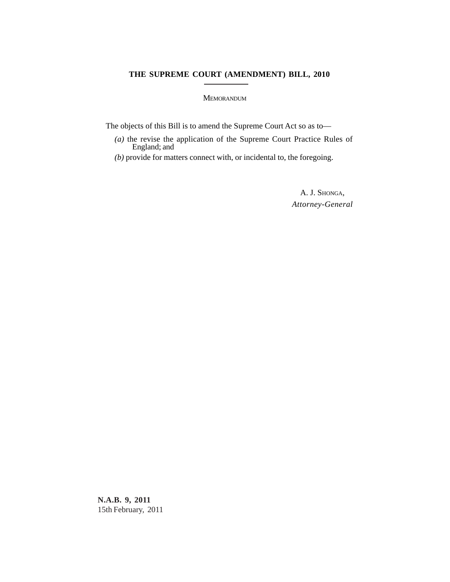## **THE SUPREME COURT (AMENDMENT) BILL, 2010**

## MEMORANDUM

The objects of this Bill is to amend the Supreme Court Act so as to—

- *(a)* the revise the application of the Supreme Court Practice Rules of England; and
- *(b)* provide for matters connect with, or incidental to, the foregoing.

A. J. SHONGA, *Attorney-General*

**N.A.B. 9, 2011** 15th February, 2011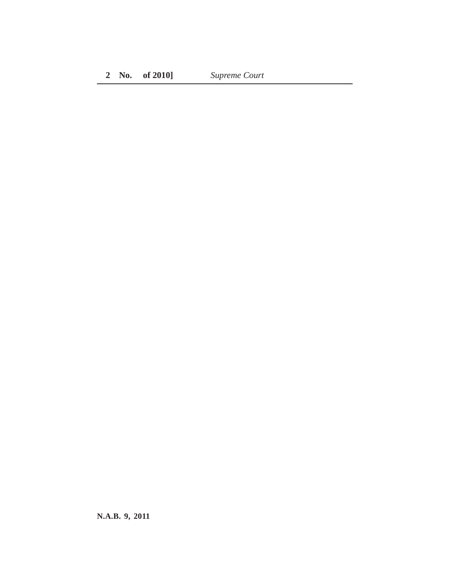**N.A.B. 9, 2011**